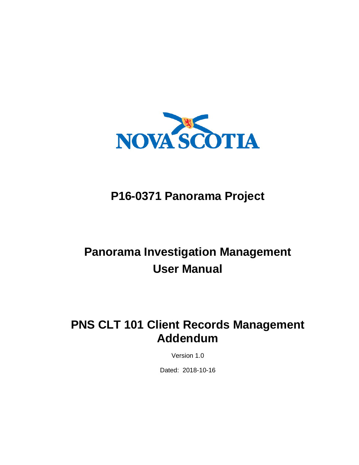

# **P16-0371 Panorama Project**

# **Panorama Investigation Management User Manual**

# **PNS CLT 101 Client Records Management Addendum**

Version 1.0

Dated: 2018-10-16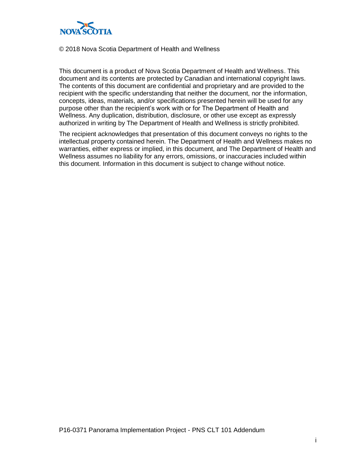

#### © 2018 Nova Scotia Department of Health and Wellness

This document is a product of Nova Scotia Department of Health and Wellness. This document and its contents are protected by Canadian and international copyright laws. The contents of this document are confidential and proprietary and are provided to the recipient with the specific understanding that neither the document, nor the information, concepts, ideas, materials, and/or specifications presented herein will be used for any purpose other than the recipient's work with or for The Department of Health and Wellness. Any duplication, distribution, disclosure, or other use except as expressly authorized in writing by The Department of Health and Wellness is strictly prohibited.

The recipient acknowledges that presentation of this document conveys no rights to the intellectual property contained herein. The Department of Health and Wellness makes no warranties, either express or implied, in this document, and The Department of Health and Wellness assumes no liability for any errors, omissions, or inaccuracies included within this document. Information in this document is subject to change without notice.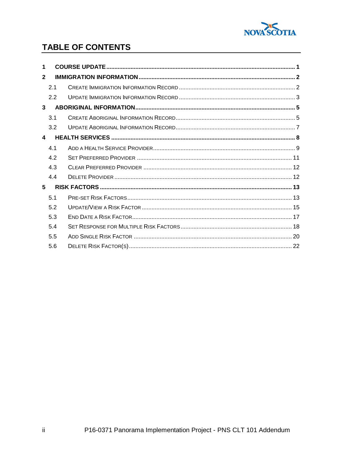

## TABLE OF CONTENTS

| 1              |     |  |
|----------------|-----|--|
| $\overline{2}$ |     |  |
|                | 21  |  |
|                | 2.2 |  |
| $\mathbf{3}$   |     |  |
|                | 3.1 |  |
|                | 3.2 |  |
| 4              |     |  |
|                | 4.1 |  |
|                | 4.2 |  |
|                | 4.3 |  |
|                | 4.4 |  |
| 5              |     |  |
|                | 5.1 |  |
|                | 5.2 |  |
|                | 5.3 |  |
|                | 5.4 |  |
|                | 5.5 |  |
|                | 5.6 |  |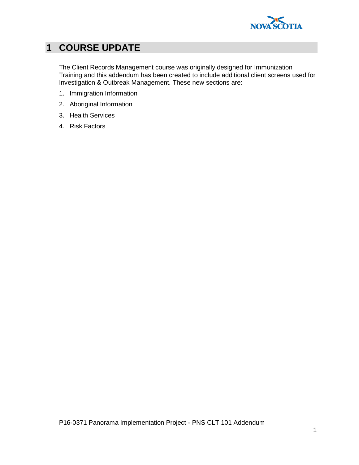

# <span id="page-4-0"></span>**1 COURSE UPDATE**

The Client Records Management course was originally designed for Immunization Training and this addendum has been created to include additional client screens used for Investigation & Outbreak Management. These new sections are:

- 1. Immigration Information
- 2. Aboriginal Information
- 3. Health Services
- 4. Risk Factors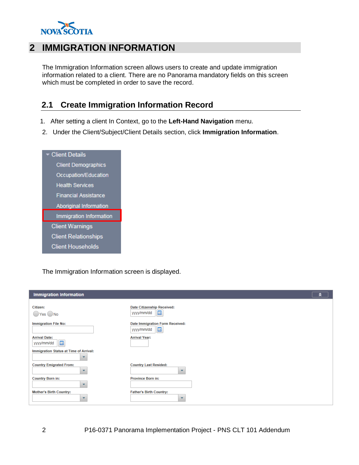

## <span id="page-5-0"></span>**2 IMMIGRATION INFORMATION**

The Immigration Information screen allows users to create and update immigration information related to a client. There are no Panorama mandatory fields on this screen which must be completed in order to save the record.

# <span id="page-5-1"></span>**2.1 Create Immigration Information Record**

- 1. After setting a client In Context, go to the **Left-Hand Navigation** menu.
- 2. Under the Client/Subject/Client Details section, click **Immigration Information**.

| - Client Details              |
|-------------------------------|
| <b>Client Demographics</b>    |
| Occupation/Education          |
| <b>Health Services</b>        |
| <b>Financial Assistance</b>   |
| <b>Aboriginal Information</b> |
| Immigration Information       |
| <b>Client Warnings</b>        |
| <b>Client Relationships</b>   |
| <b>Client Households</b>      |

The Immigration Information screen is displayed.

| <b>Immigration Information</b>                                         | ∝                                                                                   |  |
|------------------------------------------------------------------------|-------------------------------------------------------------------------------------|--|
| Citizen:<br>Yes No                                                     | <b>Date Citizenship Received:</b><br>m<br>yyyy/mm/dd                                |  |
| <b>Immigration File No:</b><br><b>Arrival Date:</b><br>區<br>yyyy/mm/dd | Date Immigration Form Received:<br><b>III</b><br>yyyy/mm/dd<br><b>Arrival Year:</b> |  |
| Immigration Status at Time of Arrival:<br>▼                            |                                                                                     |  |
| <b>Country Emigrated From:</b><br>$\overline{\phantom{a}}$             | <b>Country Last Resided:</b><br>$\overline{\phantom{a}}$                            |  |
| <b>Country Born in:</b><br>$\overline{\phantom{a}}$                    | <b>Province Born in:</b>                                                            |  |
| <b>Mother's Birth Country:</b><br>÷                                    | <b>Father's Birth Country:</b><br>$\mathbf{v}$                                      |  |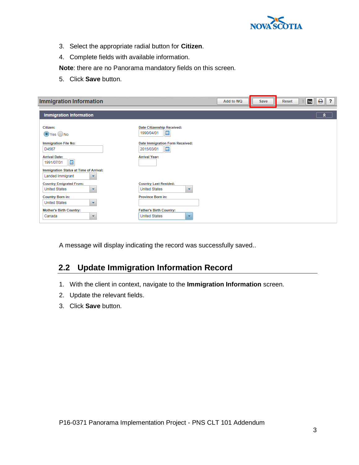

- 3. Select the appropriate radial button for **Citizen**.
- 4. Complete fields with available information.

**Note**: there are no Panorama mandatory fields on this screen.

5. Click **Save** button.

| <b>Immigration Information</b>                                                                |                                                                                  | Add to WQ | Save | <b>Reset</b> | e<br>$\overline{\mathbf{r}}$<br>log |
|-----------------------------------------------------------------------------------------------|----------------------------------------------------------------------------------|-----------|------|--------------|-------------------------------------|
| <b>Immigration Information</b>                                                                |                                                                                  |           |      |              | ∝                                   |
| Citizen:<br>$\odot$ Yes $\bigcirc$ No                                                         | <b>Date Citizenship Received:</b><br>囲<br>1990/04/01                             |           |      |              |                                     |
| <b>Immigration File No:</b><br>D4567                                                          | Date Immigration Form Received:<br>囲<br>2015/03/01                               |           |      |              |                                     |
| <b>Arrival Date:</b><br>噩<br>1991/07/31                                                       | <b>Arrival Year:</b>                                                             |           |      |              |                                     |
| <b>Immigration Status at Time of Arrival:</b><br>Landed Immigrant<br>$\overline{\phantom{a}}$ |                                                                                  |           |      |              |                                     |
| <b>Country Emigrated From:</b><br><b>United States</b><br>$\overline{\mathbf{v}}$             | <b>Country Last Resided:</b><br><b>United States</b><br>$\overline{\phantom{a}}$ |           |      |              |                                     |
| <b>Country Born in:</b><br><b>United States</b><br>$\mathbf{v}$                               | <b>Province Born in:</b>                                                         |           |      |              |                                     |
| <b>Mother's Birth Country:</b><br>Canada<br>$\blacktriangledown$                              | <b>Father's Birth Country:</b><br><b>United States</b><br>÷                      |           |      |              |                                     |

<span id="page-6-0"></span>A message will display indicating the record was successfully saved..

#### **2.2 Update Immigration Information Record**

- 1. With the client in context, navigate to the **Immigration Information** screen.
- 2. Update the relevant fields.
- 3. Click **Save** button.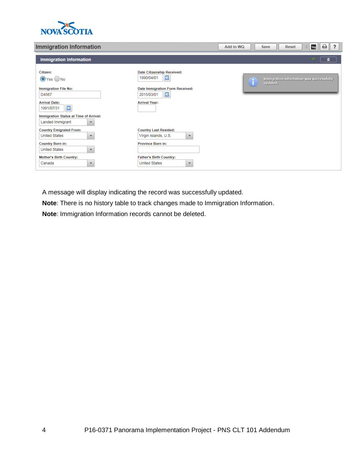

#### **Immigration Information**

| <b>Immigration Information</b>                                                                                                                                                                                                              | ₿<br>?<br>log<br>Add to WQ<br><b>Reset</b><br>$\ddot{a}$<br><b>Save</b>                                                                                                    |                                                      |
|---------------------------------------------------------------------------------------------------------------------------------------------------------------------------------------------------------------------------------------------|----------------------------------------------------------------------------------------------------------------------------------------------------------------------------|------------------------------------------------------|
| <b>Immigration Information</b>                                                                                                                                                                                                              |                                                                                                                                                                            | ∝                                                    |
| Citizen:<br>$\bigcirc$ Yes $\bigcirc$ No<br><b>Immigration File No:</b><br>D4567<br><b>Arrival Date:</b><br>$\overline{\mathbb{H}}$<br>1991/07/31<br>Immigration Status at Time of Arrival:<br>Landed Immigrant<br>$\overline{\phantom{a}}$ | <b>Date Citizenship Received:</b><br>E<br>1990/04/01<br>Date Immigration Form Received:<br>E<br>2015/03/01<br><b>Arrival Year:</b>                                         | Immigration information was successfully<br>updated. |
| <b>Country Emigrated From:</b><br><b>United States</b><br>$\overline{\phantom{a}}$<br><b>Country Born in:</b><br><b>United States</b><br>$\overline{\mathbf{v}}$<br><b>Mother's Birth Country:</b><br>Canada<br>÷                           | <b>Country Last Resided:</b><br>Virgin Islands, U.S.<br>$\overline{\mathbf{v}}$<br><b>Province Born in:</b><br><b>Father's Birth Country:</b><br><b>United States</b><br>÷ |                                                      |

A message will display indicating the record was successfully updated.

**Note**: There is no history table to track changes made to Immigration Information.

**Note**: Immigration Information records cannot be deleted.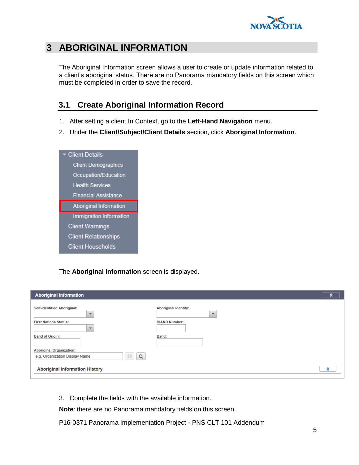

# <span id="page-8-0"></span>**3 ABORIGINAL INFORMATION**

The Aboriginal Information screen allows a user to create or update information related to a client's aboriginal status. There are no Panorama mandatory fields on this screen which must be completed in order to save the record.

#### <span id="page-8-1"></span>**3.1 Create Aboriginal Information Record**

- 1. After setting a client In Context, go to the **Left-Hand Navigation** menu.
- 2. Under the **Client/Subject/Client Details** section, click **Aboriginal Information**.



The **Aboriginal Information** screen is displayed.

| <b>Aboriginal Information</b>                                                                       |                                                                                 | я |
|-----------------------------------------------------------------------------------------------------|---------------------------------------------------------------------------------|---|
| <b>Self-identified Aboriginal:</b><br>$\overline{\phantom{a}}$<br><b>First Nations Status:</b><br>٠ | <b>Aboriginal Identity:</b><br>$\overline{\phantom{a}}$<br><b>DIAND Number:</b> |   |
| <b>Band of Origin:</b>                                                                              | Band:                                                                           |   |
| <b>Aboriginal Organization:</b><br>Q<br>e.g. Organization Display Name                              |                                                                                 |   |
| <b>Aboriginal Information History</b>                                                               |                                                                                 | ଛ |

3. Complete the fields with the available information.

**Note**: there are no Panorama mandatory fields on this screen.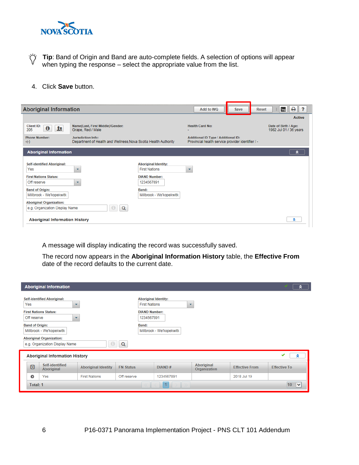

Ö **Tip**: Band of Origin and Band are auto-complete fields. A selection of options will appear when typing the response – select the appropriate value from the list.

4. Click **Save** button.

| <b>Aboriginal Information</b>                                     |                                                                                              |                                                     |                         | Add to WQ                                                                                       | Save | <b>Reset</b> | log                                            | $\overline{\mathbf{r}}$<br>₿. |
|-------------------------------------------------------------------|----------------------------------------------------------------------------------------------|-----------------------------------------------------|-------------------------|-------------------------------------------------------------------------------------------------|------|--------------|------------------------------------------------|-------------------------------|
|                                                                   |                                                                                              |                                                     |                         |                                                                                                 |      |              |                                                | <b>Active</b>                 |
| <b>Client ID:</b><br>$\bullet$<br><u>ле</u><br>205                | Name(Last, First Middle)/Gender:<br>Grape, Red / Male                                        |                                                     |                         | <b>Health Card No:</b>                                                                          |      |              | Date of Birth / Age:<br>1982 Jul 01 / 36 years |                               |
| <b>Phone Number:</b><br>$-(-)$                                    | <b>Jurisdiction Info:</b><br>Department of Health and Wellness, Nova Scotia Health Authority |                                                     |                         | <b>Additional ID Type / Additional ID:</b><br>Provincial health service provider identifier / - |      |              |                                                |                               |
| <b>Aboriginal Information</b>                                     |                                                                                              |                                                     |                         |                                                                                                 |      |              |                                                | ຂ                             |
| <b>Self-identified Aboriginal:</b><br>Yes                         | $\overline{\phantom{a}}$                                                                     | <b>Aboriginal Identity:</b><br><b>First Nations</b> | $\overline{\mathbf{v}}$ |                                                                                                 |      |              |                                                |                               |
| <b>First Nations Status:</b><br>Off reserve                       | $\overline{\phantom{a}}$                                                                     | <b>DIAND Number:</b><br>1234567891                  |                         |                                                                                                 |      |              |                                                |                               |
| <b>Band of Origin:</b><br>Millbrook - We'kopekwitk                |                                                                                              | Band:<br>Millbrook - We'kopekwitk                   |                         |                                                                                                 |      |              |                                                |                               |
| <b>Aboriginal Organization:</b><br>e.g. Organization Display Name | Q                                                                                            |                                                     |                         |                                                                                                 |      |              |                                                |                               |
| <b>Aboriginal Information History</b>                             |                                                                                              |                                                     |                         |                                                                                                 |      |              |                                                | R                             |

A message will display indicating the record was successfully saved.

The record now appears in the **Aboriginal Information History** table, the **Effective From** date of the record defaults to the current date.

|                                                                         | <b>Aboriginal Information</b>                                     |                            |                  |                                                                                 |                                   |                       |                     |
|-------------------------------------------------------------------------|-------------------------------------------------------------------|----------------------------|------------------|---------------------------------------------------------------------------------|-----------------------------------|-----------------------|---------------------|
| <b>Self-identified Aboriginal:</b><br>Yes<br>$\overline{\phantom{a}}$   |                                                                   |                            |                  | <b>Aboriginal Identity:</b><br><b>First Nations</b><br>$\overline{\phantom{a}}$ |                                   |                       |                     |
| <b>First Nations Status:</b><br>Off reserve<br>$\overline{\phantom{a}}$ |                                                                   |                            |                  | <b>DIAND Number:</b><br>1234567891                                              |                                   |                       |                     |
| <b>Band of Origin:</b>                                                  | Millbrook - We'kopekwitk                                          |                            | Band:            | Millbrook - We'kopekwitk                                                        |                                   |                       |                     |
|                                                                         | <b>Aboriginal Organization:</b><br>e.g. Organization Display Name |                            | Q                |                                                                                 |                                   |                       |                     |
| ✔<br><b>Aboriginal Information History</b><br>ଛ                         |                                                                   |                            |                  |                                                                                 |                                   |                       |                     |
| $\boxdot$                                                               | Self-identified<br>Aboriginal                                     | <b>Aboriginal Identity</b> | <b>FN Status</b> | DIAND#                                                                          | <b>Aboriginal</b><br>Organization | <b>Effective From</b> | <b>Effective To</b> |
| $\mathbf o$                                                             | Yes                                                               | <b>First Nations</b>       | Off reserve      | 1234567891                                                                      |                                   | 2018 Jul 19           |                     |
| Total: 1                                                                |                                                                   |                            |                  | 1                                                                               |                                   |                       | 10<br>$\checkmark$  |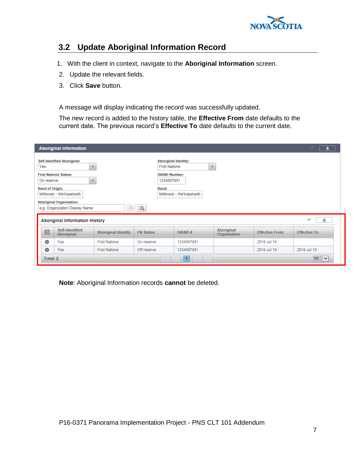

#### <span id="page-10-0"></span>**3.2 Update Aboriginal Information Record**

- 1. With the client in context, navigate to the **Aboriginal Information** screen.
- 2. Update the relevant fields.
- 3. Click **Save** button.

A message will display indicating the record was successfully updated.

The new record is added to the history table, the **Effective From** date defaults to the current date. The previous record's **Effective To** date defaults to the current date.

| <b>Aboriginal Information</b><br>ຂ |                                                                                                                                                                                                                                                                                                                                                                                          |                            |                  |            |                                   |                       |                     |  |
|------------------------------------|------------------------------------------------------------------------------------------------------------------------------------------------------------------------------------------------------------------------------------------------------------------------------------------------------------------------------------------------------------------------------------------|----------------------------|------------------|------------|-----------------------------------|-----------------------|---------------------|--|
| Yes                                | <b>Self-identified Aboriginal:</b><br><b>Aboriginal Identity:</b><br><b>First Nations</b><br>÷<br>$\overline{\phantom{a}}$<br><b>First Nations Status:</b><br><b>DIAND Number:</b><br>1234567891<br>On reserve<br>÷<br><b>Band of Origin:</b><br>Band:<br>Millbrook - We'kopekwitk<br>Millbrook - We'kopekwitk<br><b>Aboriginal Organization:</b><br>Q<br>e.g. Organization Display Name |                            |                  |            |                                   |                       |                     |  |
|                                    | <b>Aboriginal Information History</b>                                                                                                                                                                                                                                                                                                                                                    |                            |                  |            |                                   |                       | ✔<br>R              |  |
| $\boldsymbol{\Xi}$                 | Self-identified<br>Aboriginal                                                                                                                                                                                                                                                                                                                                                            | <b>Aboriginal Identity</b> | <b>FN Status</b> | DIAND#     | <b>Aboriginal</b><br>Organization | <b>Effective From</b> | <b>Effective To</b> |  |
| o                                  | Yes                                                                                                                                                                                                                                                                                                                                                                                      | <b>First Nations</b>       | On reserve       | 1234567891 |                                   | 2018 Jul 19           |                     |  |
| o                                  | Yes                                                                                                                                                                                                                                                                                                                                                                                      | <b>First Nations</b>       | Off reserve      | 1234567891 |                                   | 2018 Jul 19           | 2018 Jul 19         |  |
| Total: 2                           |                                                                                                                                                                                                                                                                                                                                                                                          |                            |                  |            |                                   |                       | 10<br>∣∨            |  |

**Note**: Aboriginal Information records **cannot** be deleted.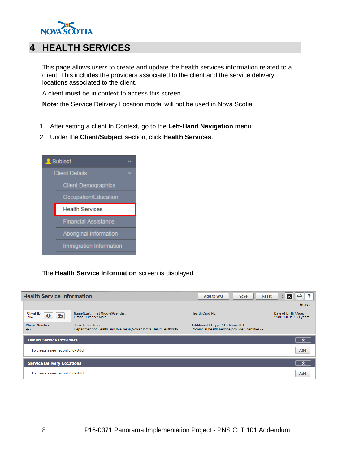

# <span id="page-11-0"></span>**4 HEALTH SERVICES**

This page allows users to create and update the health services information related to a client. This includes the providers associated to the client and the service delivery locations associated to the client.

A client **must** be in context to access this screen.

**Note**: the Service Delivery Location modal will not be used in Nova Scotia.

- 1. After setting a client In Context, go to the **Left-Hand Navigation** menu.
- 2. Under the **Client/Subject** section, click **Health Services**.



#### The **Health Service Information** screen is displayed.

| <b>Health Service Information</b>      |                                                                                              | Add to WQ<br><b>Save</b>                                                                        | е<br>log<br><b>Reset</b>                       |  |  |
|----------------------------------------|----------------------------------------------------------------------------------------------|-------------------------------------------------------------------------------------------------|------------------------------------------------|--|--|
|                                        |                                                                                              |                                                                                                 | <b>Active</b>                                  |  |  |
| Client ID:<br>$\mathbf 0$<br>Ωŧ<br>204 | Name(Last, First Middle)/Gender:<br>Grape, Green / Male                                      | <b>Health Card No:</b>                                                                          | Date of Birth / Age:<br>1988 Jul 01 / 30 years |  |  |
| <b>Phone Number:</b><br>$-(-)$         | <b>Jurisdiction Info:</b><br>Department of Health and Wellness, Nova Scotia Health Authority | <b>Additional ID Type / Additional ID:</b><br>Provincial health service provider identifier / - |                                                |  |  |
| <b>Health Service Providers</b>        |                                                                                              |                                                                                                 | ຂ                                              |  |  |
| To create a new record click Add.      |                                                                                              |                                                                                                 | Add                                            |  |  |
| <b>Service Delivery Locations</b>      |                                                                                              |                                                                                                 |                                                |  |  |
| To create a new record click Add.      |                                                                                              |                                                                                                 |                                                |  |  |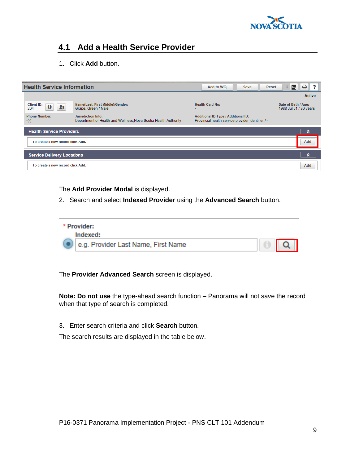

## <span id="page-12-0"></span>**4.1 Add a Health Service Provider**

1. Click **Add** button.

| <b>Health Service Information</b>          |                                                                                              | Add to WQ<br><b>Save</b>                                                                        | 0<br>?<br>log<br><b>Reset</b>                  |
|--------------------------------------------|----------------------------------------------------------------------------------------------|-------------------------------------------------------------------------------------------------|------------------------------------------------|
|                                            |                                                                                              |                                                                                                 | <b>Active</b>                                  |
| Client ID:<br>$\boldsymbol{\theta}$<br>204 | Name(Last, First Middle)/Gender:<br>Grape, Green / Male                                      | <b>Health Card No:</b><br>۰                                                                     | Date of Birth / Age:<br>1988 Jul 01 / 30 years |
| <b>Phone Number:</b><br>$-(-)$             | <b>Jurisdiction Info:</b><br>Department of Health and Wellness, Nova Scotia Health Authority | <b>Additional ID Type / Additional ID:</b><br>Provincial health service provider identifier / - |                                                |
| <b>Health Service Providers</b>            |                                                                                              |                                                                                                 | R                                              |
| To create a new record click Add.          |                                                                                              |                                                                                                 | Add                                            |
| <b>Service Delivery Locations</b>          |                                                                                              |                                                                                                 | $\hat{z}$                                      |
| To create a new record click Add.          |                                                                                              |                                                                                                 | Add                                            |

#### The **Add Provider Modal** is displayed.

2. Search and select **Indexed Provider** using the **Advanced Search** button.

| * Provider:                             |                   |
|-----------------------------------------|-------------------|
| Indexed:                                |                   |
| (e) e.g. Provider Last Name, First Name | $\theta$ $\alpha$ |

The **Provider Advanced Search** screen is displayed.

**Note: Do not use** the type-ahead search function – Panorama will not save the record when that type of search is completed.

3. Enter search criteria and click **Search** button.

The search results are displayed in the table below.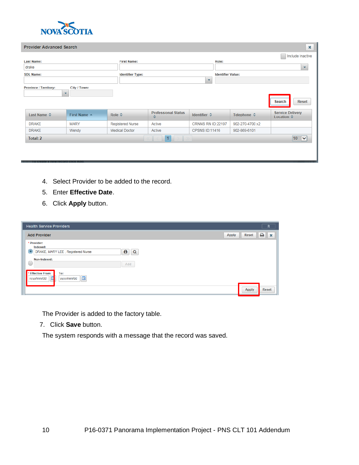

|                              | ×<br><b>Provider Advanced Search</b> |                         |                                 |                         |                          |                                                                                        |  |  |  |  |
|------------------------------|--------------------------------------|-------------------------|---------------------------------|-------------------------|--------------------------|----------------------------------------------------------------------------------------|--|--|--|--|
|                              |                                      |                         |                                 |                         |                          | Include Inactive                                                                       |  |  |  |  |
| <b>Last Name:</b>            |                                      | <b>First Name:</b>      |                                 | Role:                   |                          |                                                                                        |  |  |  |  |
| drake                        |                                      |                         |                                 |                         |                          | ▼                                                                                      |  |  |  |  |
| <b>SDL Name:</b>             |                                      | <b>Identifier Type:</b> |                                 |                         | <b>Identifier Value:</b> |                                                                                        |  |  |  |  |
|                              |                                      |                         |                                 | $\overline{\mathbf{v}}$ |                          |                                                                                        |  |  |  |  |
| <b>Province / Territory:</b> | City / Town:                         |                         |                                 |                         |                          |                                                                                        |  |  |  |  |
| Last Name $\Leftrightarrow$  | First Name A                         | Role $\Leftrightarrow$  | <b>Professional Status</b><br>≎ |                         | Telephone $\diamond$     | <b>Search</b><br><b>Reset</b><br><b>Service Delivery</b><br>Location $\Leftrightarrow$ |  |  |  |  |
| <b>DRAKE</b>                 | <b>MARY</b>                          | <b>Registered Nurse</b> | Active                          | CRNNS RN ID:22197       | 902-270-4700 x2          |                                                                                        |  |  |  |  |
| <b>DRAKE</b>                 | Wendy                                | <b>Medical Doctor</b>   | Active                          | <b>CPSNS ID:11416</b>   | 902-869-6101             |                                                                                        |  |  |  |  |
| Total: 2                     |                                      |                         |                                 |                         |                          | 10 <sup>1</sup><br>$\overline{\mathbf{v}}$                                             |  |  |  |  |
|                              |                                      |                         |                                 |                         |                          |                                                                                        |  |  |  |  |

- 4. Select Provider to be added to the record.
- 5. Enter **Effective Date**.
- 6. Click **Apply** button.

| <b>Health Service Providers</b>                                                                                                                                       |              | ⋩            |  |
|-----------------------------------------------------------------------------------------------------------------------------------------------------------------------|--------------|--------------|--|
| <b>Add Provider</b><br><b>Apply</b>                                                                                                                                   | <b>Reset</b> | ₿.<br>l ×    |  |
| * Provider:<br>Indexed:<br>DRAKE, MARY LEE, Registered Nurse<br>$\bf \bm \theta$<br>Q<br>$\left( \begin{array}{c} \bullet \end{array} \right)$<br>Non-Indexed:<br>Add |              |              |  |
| <b>Effective From:</b><br>To:<br>E<br>yyyy/mm/dd<br>yyyy/mm/dd                                                                                                        | <b>Apply</b> | <b>Reset</b> |  |

The Provider is added to the factory table.

7. Click **Save** button.

The system responds with a message that the record was saved.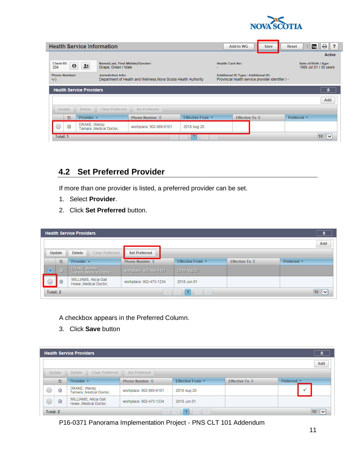

|                                |             | <b>Health Service Information</b> |                                                         |                                                                 |                        |                          | Add to WQ                                                                                       | <b>Save</b> | <b>Reset</b>                                   | ₿<br>log<br>$\cdot$ ?           |  |
|--------------------------------|-------------|-----------------------------------|---------------------------------------------------------|-----------------------------------------------------------------|------------------------|--------------------------|-------------------------------------------------------------------------------------------------|-------------|------------------------------------------------|---------------------------------|--|
|                                |             |                                   |                                                         |                                                                 |                        |                          |                                                                                                 |             |                                                | <b>Active</b>                   |  |
| Client ID:<br>204              | $\mathbf 0$ | я                                 | Name(Last, First Middle)/Gender:<br>Grape, Green / Male |                                                                 |                        | $\overline{\phantom{a}}$ | <b>Health Card No:</b>                                                                          |             | Date of Birth / Age:<br>1988 Jul 01 / 30 years |                                 |  |
| <b>Phone Number:</b><br>$-(-)$ |             |                                   | <b>Jurisdiction Info:</b>                               | Department of Health and Wellness, Nova Scotia Health Authority |                        |                          | <b>Additional ID Type / Additional ID:</b><br>Provincial health service provider identifier / - |             |                                                |                                 |  |
|                                |             | <b>Health Service Providers</b>   |                                                         |                                                                 |                        |                          |                                                                                                 |             |                                                | $\hat{z}$                       |  |
|                                |             |                                   |                                                         |                                                                 |                        |                          |                                                                                                 |             |                                                | Add                             |  |
| Update                         |             | <b>Delete</b>                     | <b>Clear Preferred</b>                                  | <b>Set Preferred</b>                                            |                        |                          |                                                                                                 |             |                                                |                                 |  |
|                                | Ð           | Provider $\triangle$              |                                                         | <b>Phone Number ↓</b>                                           | Effective From $\star$ |                          | Effective To ☆                                                                                  |             | Preferred *                                    |                                 |  |
|                                | ⊕           | DRAKE, Wendy                      | Tamara , Medical Doctor,                                | workplace: 902-869-6101                                         | 2018 Aug 20            |                          |                                                                                                 |             |                                                |                                 |  |
| <b>Total: 1</b>                |             |                                   |                                                         |                                                                 |                        |                          |                                                                                                 |             |                                                | 10 <sup>1</sup><br>$\checkmark$ |  |

## <span id="page-14-0"></span>**4.2 Set Preferred Provider**

If more than one provider is listed, a preferred provider can be set.

- 1. Select **Provider**.
- 2. Click **Set Preferred** button.

|                                                      |           | <b>Health Service Providers</b>         |                         |                  |                       | R                                          |
|------------------------------------------------------|-----------|-----------------------------------------|-------------------------|------------------|-----------------------|--------------------------------------------|
|                                                      |           |                                         |                         |                  |                       | Add                                        |
|                                                      | Update    | <b>Delete</b><br><b>Clear Preferred</b> | <b>Set Preferred</b>    |                  |                       |                                            |
|                                                      | B         | Provider $\triangle$                    | <b>Phone Number ↔</b>   | Effective From ▼ | <b>Effective To ☆</b> | Preferred $\blacktriangledown$             |
|                                                      | $\boxdot$ | DRAKE, Wendy<br>Tamara ,Medical Doctor, | workplace: 902-869-6101 | 2018 Aug 20      |                       |                                            |
| WILLIAMS, Alicia Gail<br>⊕<br>Howe , Medical Doctor, |           |                                         | workplace: 902-473-1234 | 2018 Jun 01      |                       |                                            |
| Total: 2                                             |           |                                         |                         |                  |                       | 10 <sub>1</sub><br>$\overline{\mathsf{v}}$ |

A checkbox appears in the Preferred Column.

3. Click **Save** button

| <b>Health Service Providers</b><br>$\hat{z}$ |                                                                    |                                          |                         |                  |                       |                      |  |  |  |  |  |
|----------------------------------------------|--------------------------------------------------------------------|------------------------------------------|-------------------------|------------------|-----------------------|----------------------|--|--|--|--|--|
|                                              |                                                                    |                                          |                         |                  |                       | Add                  |  |  |  |  |  |
|                                              | <b>Clear Preferred</b><br><b>Delete</b><br>Set Preferred<br>Update |                                          |                         |                  |                       |                      |  |  |  |  |  |
|                                              | Ð                                                                  | Provider $\triangle$                     | <b>Phone Number ☆</b>   | Effective From ▼ | <b>Effective To ☆</b> | Preferred $\sqrt{*}$ |  |  |  |  |  |
|                                              | ⊕                                                                  | DRAKE, Wendy<br>Tamara , Medical Doctor, | workplace: 902-869-6101 | 2018 Aug 20      |                       | $\checkmark$         |  |  |  |  |  |
| C                                            | WILLIAMS, Alicia Gail<br>$\mathbf{F}$<br>Howe , Medical Doctor,    |                                          | workplace: 902-473-1234 | 2018 Jun 01      |                       |                      |  |  |  |  |  |
| Total: 2                                     |                                                                    |                                          |                         |                  |                       | 10<br>$\checkmark$   |  |  |  |  |  |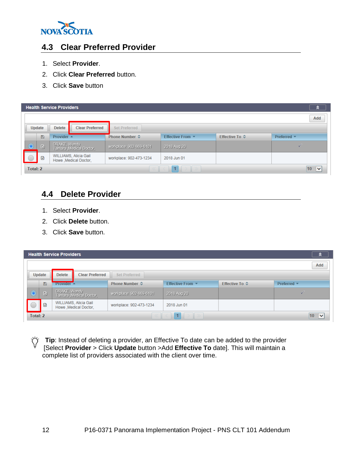

#### <span id="page-15-0"></span>**4.3 Clear Preferred Provider**

- 1. Select **Provider**.
- 2. Click **Clear Preferred** button.
- 3. Click **Save** button

|                                |           | <b>Health Service Providers</b> |                                                 |                         |                  |                       | A.               |  |  |  |  |
|--------------------------------|-----------|---------------------------------|-------------------------------------------------|-------------------------|------------------|-----------------------|------------------|--|--|--|--|
| Add                            |           |                                 |                                                 |                         |                  |                       |                  |  |  |  |  |
|                                | Update    | <b>Delete</b>                   | <b>Clear Preferred</b>                          | Set Preferred           |                  |                       |                  |  |  |  |  |
|                                | Ð         | Provider $\rightarrow$          |                                                 | <b>Phone Number ☆</b>   | Effective From ▼ | <b>Effective To ☆</b> | Preferred $\sim$ |  |  |  |  |
|                                | $\boxdot$ | DRAKE, Wendy                    | Tamara , Medical Doctor,                        | workplace: 902-869-6101 | 2018 Aug 20      |                       | Ø                |  |  |  |  |
|                                | 田         |                                 | WILLIAMS, Alicia Gail<br>Howe , Medical Doctor, | workplace: 902-473-1234 | 2018 Jun 01      |                       |                  |  |  |  |  |
| Total: 2<br>10<br>$\checkmark$ |           |                                 |                                                 |                         |                  |                       |                  |  |  |  |  |

#### <span id="page-15-1"></span>**4.4 Delete Provider**

- 1. Select **Provider**.
- 2. Click **Delete** button.
- 3. Click **Save** button.

|                                     |                                                                    | <b>Health Service Providers</b>                 |                          |                         |                        |                       | $\hat{z}$                      |  |  |  |
|-------------------------------------|--------------------------------------------------------------------|-------------------------------------------------|--------------------------|-------------------------|------------------------|-----------------------|--------------------------------|--|--|--|
|                                     |                                                                    |                                                 |                          |                         |                        |                       | Add                            |  |  |  |
|                                     | <b>Delete</b><br>Update<br>Set Preferred<br><b>Clear Preferred</b> |                                                 |                          |                         |                        |                       |                                |  |  |  |
|                                     | Ð                                                                  | <b>Provider <math>\triangle</math></b>          |                          | Phone Number ☆          | Effective From $\star$ | <b>Effective To ☆</b> | Preferred $\blacktriangledown$ |  |  |  |
|                                     | E)                                                                 | DRAKE, Wendy                                    | Tamara , Medical Doctor, | workplace: 902-869-6101 | 2018 Aug 20            |                       | M                              |  |  |  |
|                                     | ⊕                                                                  | WILLIAMS, Alicia Gail<br>Howe , Medical Doctor, |                          | workplace: 902-473-1234 | 2018 Jun 01            |                       |                                |  |  |  |
| Total: 2<br>1<br>10<br>$\checkmark$ |                                                                    |                                                 |                          |                         |                        |                       |                                |  |  |  |

**Tip**: Instead of deleting a provider, an Effective To date can be added to the provider [Select **Provider** > Click **Update** button >Add **Effective To** date]. This will maintain a complete list of providers associated with the client over time.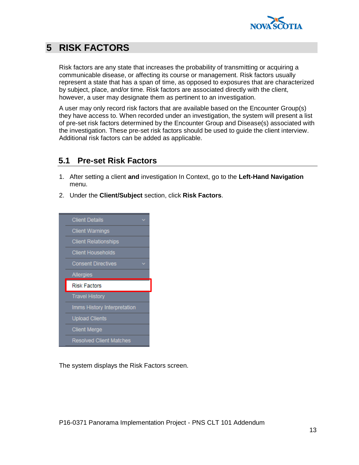

# <span id="page-16-0"></span>**5 RISK FACTORS**

Risk factors are any state that increases the probability of transmitting or acquiring a communicable disease, or affecting its course or management. Risk factors usually represent a state that has a span of time, as opposed to exposures that are characterized by subject, place, and/or time. Risk factors are associated directly with the client, however, a user may designate them as pertinent to an investigation.

A user may only record risk factors that are available based on the Encounter Group(s) they have access to. When recorded under an investigation, the system will present a list of pre-set risk factors determined by the Encounter Group and Disease(s) associated with the investigation. These pre-set risk factors should be used to guide the client interview. Additional risk factors can be added as applicable.

## <span id="page-16-1"></span>**5.1 Pre-set Risk Factors**

- 1. After setting a client **and** investigation In Context, go to the **Left-Hand Navigation** menu.
- 2. Under the **Client/Subject** section, click **Risk Factors**.



The system displays the Risk Factors screen.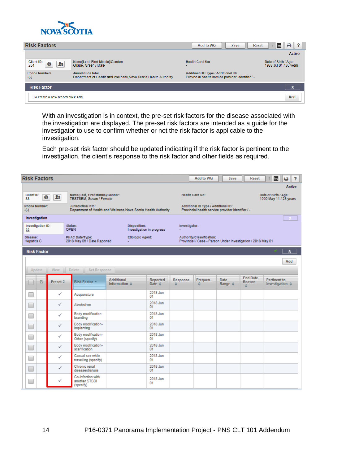

| <b>Risk Factors</b>                             |                                                                                       | Add to WQ                                                                                       | ₿<br>$\cdot$ ?<br><b>Reset</b><br><b>Save</b><br>log |
|-------------------------------------------------|---------------------------------------------------------------------------------------|-------------------------------------------------------------------------------------------------|------------------------------------------------------|
|                                                 |                                                                                       |                                                                                                 | <b>Active</b>                                        |
| Client ID:<br>$\boldsymbol{\theta}$<br>Ω<br>204 | Name(Last, First Middle)/Gender:<br>Grape, Green / Male                               | <b>Health Card No:</b><br>$\overline{\phantom{0}}$                                              | Date of Birth / Age:<br>1988 Jul 01 / 30 years       |
| <b>Phone Number:</b><br>$-(-)$                  | Jurisdiction Info:<br>Department of Health and Wellness, Nova Scotia Health Authority | <b>Additional ID Type / Additional ID:</b><br>Provincial health service provider identifier / - |                                                      |
| <b>Risk Factor</b>                              |                                                                                       |                                                                                                 | ◚                                                    |
| To create a new record click Add.               |                                                                                       |                                                                                                 | Add                                                  |

With an investigation is in context, the pre-set risk factors for the disease associated with the investigation are displayed. The pre-set risk factors are intended as a guide for the investigator to use to confirm whether or not the risk factor is applicable to the investigation.

Each pre-set risk factor should be updated indicating if the risk factor is pertinent to the investigation, the client's response to the risk factor and other fields as required.

| <b>Risk Factors</b>                   |                                             |                                                                                       |                                                    |                                           |               | Add to WQ                                                                                 | Save                            | Reset                                 | log                                            | ₿<br>?             |
|---------------------------------------|---------------------------------------------|---------------------------------------------------------------------------------------|----------------------------------------------------|-------------------------------------------|---------------|-------------------------------------------------------------------------------------------|---------------------------------|---------------------------------------|------------------------------------------------|--------------------|
|                                       |                                             |                                                                                       |                                                    |                                           |               |                                                                                           |                                 |                                       |                                                | <b>Active</b>      |
| Cilent ID:<br>$\bf{0}$<br>88          | $\mathbf{R}$                                | Name(Last, First Middle)/Gender:<br><b>TESTSEM, Susan / Female</b>                    |                                                    |                                           |               | <b>Health Card No:</b>                                                                    |                                 |                                       | Date of Birth / Age:<br>1990 May 11 / 28 years |                    |
| <b>Phone Number:</b><br>$-(-)$        |                                             | Jurisdiction Info:<br>Department of Health and Wellness, Nova Scotia Health Authority |                                                    |                                           |               | Additional ID Type / Additional ID:<br>Provincial health service provider identifier / -  |                                 |                                       |                                                |                    |
| Investigation                         |                                             |                                                                                       |                                                    |                                           |               |                                                                                           |                                 |                                       |                                                |                    |
| 32                                    | Investigation ID:<br>status:<br><b>OPEN</b> |                                                                                       |                                                    | Disposition:<br>Investigation in progress |               | Investigator:                                                                             |                                 |                                       |                                                |                    |
| <b>DIsease:</b><br><b>Hepatitis C</b> |                                             | PHAC Date/Type:<br>Etiologic Agent:<br>2018 May 06 / Date Reported                    |                                                    |                                           |               | Authority/Classification:<br>Provincial / Case - Person Under Investigation / 2018 May 01 |                                 |                                       |                                                |                    |
|                                       | <b>Risk Factor</b>                          |                                                                                       |                                                    |                                           |               |                                                                                           |                                 |                                       |                                                | $\hat{\mathbf{x}}$ |
|                                       |                                             |                                                                                       |                                                    |                                           |               |                                                                                           |                                 |                                       |                                                | Add                |
| Update                                | View                                        | <b>Delete</b><br><b>Set Response</b>                                                  |                                                    |                                           |               |                                                                                           |                                 |                                       |                                                |                    |
| B                                     | Preset ¢                                    | Risk Factor                                                                           | <b>Additional</b><br>Information $\Leftrightarrow$ | Reported<br>Date ¢                        | Response<br>٠ | Frequen<br>٠                                                                              | <b>Date</b><br>Range $\diamond$ | <b>End Date</b><br><b>Reason</b><br>٠ | Pertinent to<br>Investigation $\diamond$       |                    |
| T.                                    | ✓                                           | Acupuncture                                                                           |                                                    | 2018 Jun<br>01                            |               |                                                                                           |                                 |                                       |                                                |                    |
| Е                                     | ✓                                           | Alcoholism                                                                            |                                                    | 2018 Jun<br>01                            |               |                                                                                           |                                 |                                       |                                                |                    |
| Ξ                                     | ✓                                           | Body modification-<br>branding                                                        |                                                    | 2018 Jun<br>01                            |               |                                                                                           |                                 |                                       |                                                |                    |
| L.                                    | ✓                                           | Body modification-<br>implanting                                                      |                                                    | 2018 Jun<br>01                            |               |                                                                                           |                                 |                                       |                                                |                    |
| o.                                    | ✓                                           | Body modification-<br>Other (specify)                                                 |                                                    | 2018 Jun<br>01                            |               |                                                                                           |                                 |                                       |                                                |                    |
| Г                                     | ✓                                           | Body modification-<br>scarification                                                   |                                                    | 2018 Jun<br>01                            |               |                                                                                           |                                 |                                       |                                                |                    |
| E                                     | ✓                                           | Casual sex while<br>travelling (specify)                                              |                                                    | 2018 Jun<br>01                            |               |                                                                                           |                                 |                                       |                                                |                    |
| O                                     | ✓                                           | Chronic renal<br>disease/dialysis                                                     |                                                    | 2018 Jun<br>01                            |               |                                                                                           |                                 |                                       |                                                |                    |
| ⊏                                     | ✓                                           | Co-infection with<br>another STBBI<br>(specify)                                       |                                                    | 2018 Jun<br>01                            |               |                                                                                           |                                 |                                       |                                                |                    |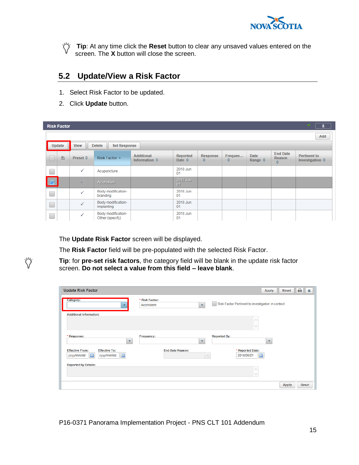

**Tip**: At any time click the **Reset** button to clear any unsaved values entered on the screen. The **X** button will close the screen.

## <span id="page-18-0"></span>**5.2 Update/View a Risk Factor**

- 1. Select Risk Factor to be updated.
- 2. Click **Update** button.

Ÿ

|                         | <b>Risk Factor</b>                                            |                 |                                       |                                                    |                             |               |              |                                 |                                | $\hat{z}$                                       |
|-------------------------|---------------------------------------------------------------|-----------------|---------------------------------------|----------------------------------------------------|-----------------------------|---------------|--------------|---------------------------------|--------------------------------|-------------------------------------------------|
|                         |                                                               |                 |                                       |                                                    |                             |               |              |                                 |                                | Add                                             |
|                         | Update<br><b>Delete</b><br><b>View</b><br><b>Set Response</b> |                 |                                       |                                                    |                             |               |              |                                 |                                |                                                 |
|                         | $\Box$                                                        | <b>Preset ↓</b> | Risk Factor A                         | <b>Additional</b><br>Information $\Leftrightarrow$ | Reported<br>Date $\diamond$ | Response<br>≎ | Frequen<br>≎ | Date<br>Range $\Leftrightarrow$ | <b>End Date</b><br>Reason<br>÷ | <b>Pertinent to</b><br>Investigation $\diamond$ |
| $\Box$                  |                                                               | $\checkmark$    | Acupuncture                           |                                                    | 2018 Jun<br>01              |               |              |                                 |                                |                                                 |
| $\overline{\mathbf{v}}$ |                                                               | $\sqrt{}$       | Alcoholism                            |                                                    | 2018 Jun<br>01              |               |              |                                 |                                |                                                 |
| $\Box$                  |                                                               | $\checkmark$    | Body modification-<br>branding        |                                                    | 2018 Jun<br>01              |               |              |                                 |                                |                                                 |
| $\Box$                  |                                                               | $\checkmark$    | Body modification-<br>implanting      |                                                    | 2018 Jun<br>01              |               |              |                                 |                                |                                                 |
| Œ                       |                                                               | ✓               | Body modification-<br>Other (specify) |                                                    | 2018 Jun<br>01              |               |              |                                 |                                |                                                 |

The **Update Risk Factor** screen will be displayed.

The **Risk Factor** field will be pre-populated with the selected Risk Factor.

**Tip**: for **pre-set risk factors**, the category field will be blank in the update risk factor screen. **Do not select a value from this field – leave blank**.

|                                                |                                                          | ₿<br><b>Reset</b><br>$\boldsymbol{\mathsf{x}}$<br><b>Apply</b> |
|------------------------------------------------|----------------------------------------------------------|----------------------------------------------------------------|
| <b>Category:</b><br>$\overline{\phantom{a}}$   | * Risk Factor:<br>Alcoholism<br>$\overline{\phantom{a}}$ | Risk Factor Pertinent to investigation in context              |
| <b>Additional Information:</b>                 |                                                          |                                                                |
|                                                |                                                          |                                                                |
| * Response:                                    | <b>Frequency:</b>                                        | <b>Reported By:</b>                                            |
| $\overline{\mathbf{v}}$                        | $\overline{\phantom{a}}$                                 | $\mathbf{v}$                                                   |
| <b>Effective From:</b><br><b>Effective To:</b> | <b>End Date Reason:</b>                                  | * Reported Date:                                               |
| 區<br>yyyy/mm/dd<br>yyyy/mm/dd                  | $\sim$                                                   | E<br>2018/06/01                                                |
| <b>Reported by Details:</b>                    |                                                          |                                                                |
|                                                |                                                          |                                                                |
|                                                |                                                          | Reset<br><b>Apply</b>                                          |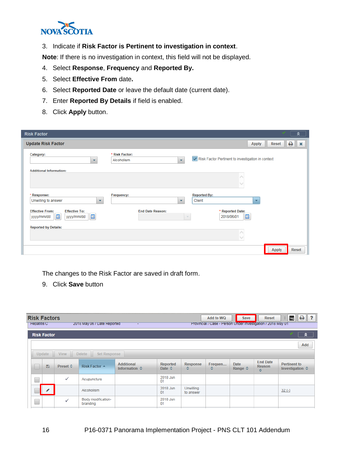

3. Indicate if **Risk Factor is Pertinent to investigation in context**.

**Note**: If there is no investigation in context, this field will not be displayed.

- 4. Select **Response**, **Frequency** and **Reported By.**
- 5. Select **Effective From** date**.**
- 6. Select **Reported Date** or leave the default date (current date).
- 7. Enter **Reported By Details** if field is enabled.
- 8. Click **Apply** button.

| <b>Risk Factor</b>                                                                   |                              |                          |                                                   |                      |              |   | ጱ              |
|--------------------------------------------------------------------------------------|------------------------------|--------------------------|---------------------------------------------------|----------------------|--------------|---|----------------|
| <b>Update Risk Factor</b>                                                            |                              |                          |                                                   | <b>Apply</b>         | Reset        | ₿ | $\pmb{\times}$ |
| Category:<br>$\overline{\phantom{a}}$                                                | * Risk Factor:<br>Alcoholism |                          | Risk Factor Pertinent to investigation in context |                      |              |   |                |
| <b>Additional Information:</b>                                                       |                              |                          |                                                   |                      |              |   |                |
|                                                                                      |                              |                          |                                                   |                      |              |   |                |
| * Response:<br>Unwilling to answer<br>$\overline{\phantom{a}}$                       | Frequency:                   | $\mathbf{v}$             | <b>Reported By:</b><br>Client                     | $\blacktriangledown$ |              |   |                |
| <b>Effective From:</b><br><b>Effective To:</b><br>E<br>E<br>yyyy/mm/dd<br>yyyy/mm/dd | <b>End Date Reason:</b>      | $\overline{\phantom{a}}$ | * Reported Date:<br>E<br>2018/06/01               |                      |              |   |                |
| <b>Reported by Details:</b>                                                          |                              |                          |                                                   |                      |              |   |                |
|                                                                                      |                              |                          |                                                   |                      | <b>Apply</b> |   | Reset          |

The changes to the Risk Factor are saved in draft form.

9. Click **Save** button

| <b>Risk Factors</b><br><b>Hepatitis C</b> |                    |                          | 2018 May 06 / Date Reported    |                                                    |                                    |                               | Add to WQ<br>Provincial / Case - Person Under Investigation / 2018 May 01 | <b>Save</b>                            | <b>Reset</b>                          | ₿<br>$\overline{\mathbf{r}}$<br>log<br>$\mathbf{H}$ |  |
|-------------------------------------------|--------------------|--------------------------|--------------------------------|----------------------------------------------------|------------------------------------|-------------------------------|---------------------------------------------------------------------------|----------------------------------------|---------------------------------------|-----------------------------------------------------|--|
|                                           | <b>Risk Factor</b> |                          |                                |                                                    |                                    |                               |                                                                           |                                        |                                       | $\hat{z}$                                           |  |
|                                           | Add                |                          |                                |                                                    |                                    |                               |                                                                           |                                        |                                       |                                                     |  |
|                                           | Update             | <b>View</b>              | <b>Delete</b><br>Set Response  |                                                    |                                    |                               |                                                                           |                                        |                                       |                                                     |  |
|                                           | Ð                  | Preset $\Leftrightarrow$ | Risk Factor A                  | <b>Additional</b><br>Information $\Leftrightarrow$ | Reported<br>Date $\Leftrightarrow$ | <b>Response</b><br>≎          | Frequen<br>≎                                                              | <b>Date</b><br>Range $\Leftrightarrow$ | <b>End Date</b><br><b>Reason</b><br>≎ | <b>Pertinent to</b><br>Investigation $\diamond$     |  |
| e<br>S                                    |                    | $\checkmark$             | Acupuncture                    |                                                    | 2018 Jun<br>01                     |                               |                                                                           |                                        |                                       |                                                     |  |
|                                           |                    |                          | Alcoholism                     |                                                    | 2018 Jun<br>01                     | <b>Unwilling</b><br>to answer |                                                                           |                                        |                                       | $32(-)$                                             |  |
|                                           |                    | $\checkmark$             | Body modification-<br>branding |                                                    | 2018 Jun<br>01                     |                               |                                                                           |                                        |                                       |                                                     |  |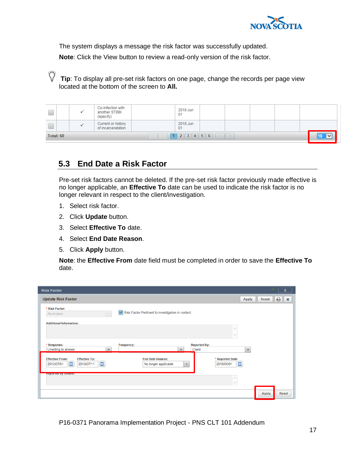

The system displays a message the risk factor was successfully updated.

**Note**: Click the View button to review a read-only version of the risk factor.

Ö **Tip**: To display all pre-set risk factors on one page, change the records per page view located at the bottom of the screen to **All.**

|           | Co-infection with<br>another STBBI<br>(specify) | 2018 Jun<br>01 |  |  |              |
|-----------|-------------------------------------------------|----------------|--|--|--------------|
|           | Current or history<br>of incarceratation        | 2018 Jun<br>01 |  |  |              |
| Total: 60 |                                                 | $1$ 2 3 4 5 6  |  |  | $\checkmark$ |

## <span id="page-20-0"></span>**5.3 End Date a Risk Factor**

Pre-set risk factors cannot be deleted. If the pre-set risk factor previously made effective is no longer applicable, an **Effective To** date can be used to indicate the risk factor is no longer relevant in respect to the client/investigation.

- 1. Select risk factor.
- 2. Click **Update** button.
- 3. Select **Effective To** date.
- 4. Select **End Date Reason**.
- 5. Click **Apply** button.

**Note**: the **Effective From** date field must be completed in order to save the **Effective To** date.

| <b>Risk Factor</b>                                                                                                                                                                                                          |                          |              | °                              |
|-----------------------------------------------------------------------------------------------------------------------------------------------------------------------------------------------------------------------------|--------------------------|--------------|--------------------------------|
| <b>Update Risk Factor</b>                                                                                                                                                                                                   | <b>Apply</b>             | Reset        | e<br>$\boldsymbol{\mathsf{x}}$ |
| * Risk Factor:<br>Risk Factor Pertinent to investigation in context<br>Alcoholism<br>$\overline{\phantom{a}}$                                                                                                               |                          |              |                                |
| <b>Additional Information:</b>                                                                                                                                                                                              |                          |              |                                |
|                                                                                                                                                                                                                             |                          |              |                                |
| <b>Reported By:</b><br>* Response:<br>Frequency:<br>Client<br>Unwilling to answer<br>$\overline{\phantom{a}}$                                                                                                               | $\overline{\phantom{a}}$ |              |                                |
| <b>Effective To:</b><br><b>End Date Reason:</b><br><b>Effective From:</b><br>* Reported Date:<br>E<br>$\Xi$<br>$\blacksquare$<br>2018/07/11<br>2018/06/01<br>2012/07/01<br>No longer applicable<br>$\overline{\phantom{a}}$ |                          |              |                                |
| <b>Reported by Details:</b>                                                                                                                                                                                                 |                          |              |                                |
|                                                                                                                                                                                                                             |                          | <b>Apply</b> | <b>Reset</b>                   |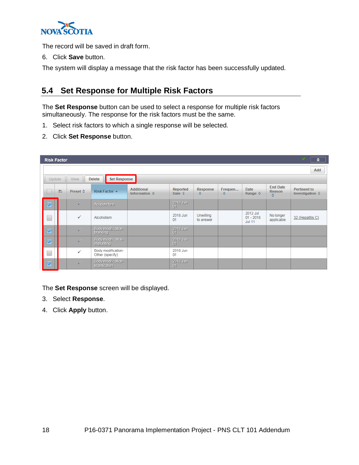

The record will be saved in draft form.

6. Click **Save** button.

<span id="page-21-0"></span>The system will display a message that the risk factor has been successfully updated.

## **5.4 Set Response for Multiple Risk Factors**

The **Set Response** button can be used to select a response for multiple risk factors simultaneously. The response for the risk factors must be the same.

- 1. Select risk factors to which a single response will be selected.
- 2. Click **Set Response** button.

| <b>Risk Factor</b>      |   |                 |                                       |                                                    |                             |                        |              |                                          |                                | $\hat{\mathbf{z}}$                              |
|-------------------------|---|-----------------|---------------------------------------|----------------------------------------------------|-----------------------------|------------------------|--------------|------------------------------------------|--------------------------------|-------------------------------------------------|
|                         |   |                 |                                       |                                                    |                             |                        |              |                                          |                                | Add                                             |
| Update                  |   | <b>View</b>     | <b>Set Response</b><br><b>Delete</b>  |                                                    |                             |                        |              |                                          |                                |                                                 |
|                         | Ð | <b>Preset ☆</b> | <b>Risk Factor ▲</b>                  | <b>Additional</b><br>Information $\Leftrightarrow$ | Reported<br>Date $\diamond$ | Response<br>≎          | Frequen<br>≎ | <b>Date</b><br>Range $\Leftrightarrow$   | <b>End Date</b><br>Reason<br>٠ | <b>Pertinent to</b><br>Investigation $\diamond$ |
| $\overline{\mathbf{v}}$ |   | $\sqrt{2}$      | Acupuncture                           |                                                    | 2018 Jun<br>01              |                        |              |                                          |                                |                                                 |
|                         |   | ✓               | Alcoholism                            |                                                    | 2018 Jun<br>01              | Unwilling<br>to answer |              | 2012 Jul<br>$01 - 2018$<br><b>Jul 11</b> | No longer<br>applicable        | 32 (Hepatitis C)                                |
| $\overline{\mathbf{v}}$ |   | $\sqrt{2}$      | Body modification-<br>branding        |                                                    | 2018 Jun<br>01              |                        |              |                                          |                                |                                                 |
| $\overline{\mathbf{v}}$ |   | $\sqrt{}$       | Body modification-<br>implanting      |                                                    | 2018 Jun<br>01              |                        |              |                                          |                                |                                                 |
|                         |   | $\checkmark$    | Body modification-<br>Other (specify) |                                                    | 2018 Jun<br>01              |                        |              |                                          |                                |                                                 |
| $\overline{\mathbf{v}}$ |   | $\sqrt{}$       | Body modification-<br>scarification   |                                                    | 2018 Jun<br>01              |                        |              |                                          |                                |                                                 |

The **Set Response** screen will be displayed.

- 3. Select **Response**.
- 4. Click **Apply** button.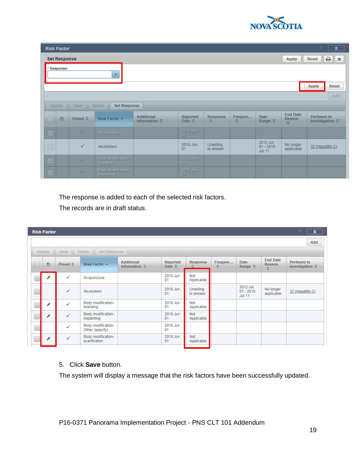

| <b>Risk Factor</b>            |                                                                                                                                                                          |                                      |                                                    |                                    |                      |              |                                 |                                        | ⋩                                               |  |  |
|-------------------------------|--------------------------------------------------------------------------------------------------------------------------------------------------------------------------|--------------------------------------|----------------------------------------------------|------------------------------------|----------------------|--------------|---------------------------------|----------------------------------------|-------------------------------------------------|--|--|
| <b>Set Response</b>           |                                                                                                                                                                          |                                      |                                                    |                                    |                      |              |                                 | <b>Apply</b>                           | $\theta$ $\mathbf{x}$<br>Reset                  |  |  |
| Response:                     |                                                                                                                                                                          | ٠                                    |                                                    |                                    |                      |              |                                 |                                        |                                                 |  |  |
|                               | <b>Reset</b><br><b>Apply</b>                                                                                                                                             |                                      |                                                    |                                    |                      |              |                                 |                                        |                                                 |  |  |
|                               | Add                                                                                                                                                                      |                                      |                                                    |                                    |                      |              |                                 |                                        |                                                 |  |  |
| Update                        | <b>View</b>                                                                                                                                                              | <b>Delete</b><br><b>Set Response</b> |                                                    |                                    |                      |              |                                 |                                        |                                                 |  |  |
| $\blacksquare$                | Preset ☆                                                                                                                                                                 | <b>Risk Factor ▲</b>                 | <b>Additional</b><br>Information $\Leftrightarrow$ | Reported<br>Date $\Leftrightarrow$ | <b>Response</b><br>≎ | Frequen<br>≎ | <b>Date</b><br>Range $\diamond$ | <b>End Date</b><br><b>Reason</b><br>÷. | <b>Pertinent to</b><br>Investigation $\diamond$ |  |  |
| $\langle \mathcal{S} \rangle$ | $\sqrt{}$                                                                                                                                                                | Acupuncture                          |                                                    | 2018 Jun<br>01                     |                      |              |                                 |                                        |                                                 |  |  |
| $\Box$                        | 2012 Jul<br>2018 Jun<br><b>Unwilling</b><br>No longer<br>$\checkmark$<br>$01 - 2018$<br>32 (Hepatitis C)<br>Alcoholism<br>01<br>applicable<br>to answer<br><b>Jul 11</b> |                                      |                                                    |                                    |                      |              |                                 |                                        |                                                 |  |  |
| $\vert \varphi \vert$         | $\sqrt{2}$                                                                                                                                                               | Body modification-<br>branding       |                                                    | 2018 Jun<br>01                     |                      |              |                                 |                                        |                                                 |  |  |
| $\vee$                        | $\sqrt{2}$                                                                                                                                                               | Body modification-<br>implanting     |                                                    | 2018 Jun<br>01                     |                      |              |                                 |                                        |                                                 |  |  |

The response is added to each of the selected risk factors.

The records are in draft status.

| <b>Risk Factor</b> |                          |                                       |                                                    |                                    |                               |              |                                          |                                       | $\hat{z}$                                       |
|--------------------|--------------------------|---------------------------------------|----------------------------------------------------|------------------------------------|-------------------------------|--------------|------------------------------------------|---------------------------------------|-------------------------------------------------|
|                    |                          |                                       |                                                    |                                    |                               |              |                                          |                                       | Add                                             |
| Update             | <b>View</b>              | Delete<br><b>Set Response</b>         |                                                    |                                    |                               |              |                                          |                                       |                                                 |
| Ð                  | Preset $\Leftrightarrow$ | <b>Risk Factor ▲</b>                  | <b>Additional</b><br>Information $\Leftrightarrow$ | Reported<br>Date $\Leftrightarrow$ | <b>Response</b><br>≎          | Frequen<br>≎ | Date<br>Range $\Leftrightarrow$          | <b>End Date</b><br><b>Reason</b><br>≎ | <b>Pertinent to</b><br>Investigation $\diamond$ |
| ◢                  | ✓                        | Acupuncture                           |                                                    | 2018 Jun<br>01                     | Not<br>Applicable             |              |                                          |                                       |                                                 |
|                    | ✓                        | Alcoholism                            |                                                    | 2018 Jun<br>01                     | <b>Unwilling</b><br>to answer |              | 2012 Jul<br>$01 - 2018$<br><b>Jul 11</b> | No longer<br>applicable               | 32 (Hepatitis C)                                |
| ◢                  | ✓                        | Body modification-<br>branding        |                                                    | 2018 Jun<br>01                     | <b>Not</b><br>Applicable      |              |                                          |                                       |                                                 |
| Í                  | ✓                        | Body modification-<br>implanting      |                                                    | 2018 Jun<br>01                     | Not<br>Applicable             |              |                                          |                                       |                                                 |
|                    | ✓                        | Body modification-<br>Other (specify) |                                                    | 2018 Jun<br>01                     |                               |              |                                          |                                       |                                                 |
| ,                  | ✓                        | Body modification-<br>scarification   |                                                    | 2018 Jun<br>01                     | Not<br>Applicable             |              |                                          |                                       |                                                 |
|                    |                          |                                       |                                                    |                                    |                               |              |                                          |                                       |                                                 |

#### 5. Click **Save** button.

The system will display a message that the risk factors have been successfully updated.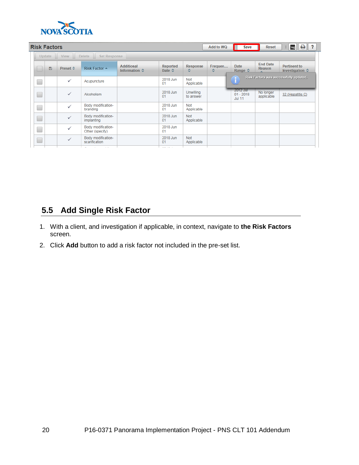

|        | <b>Risk Factors</b> |              |                                       |                                                    |                             |                               | Add to WQ    | Save                                            | <b>Reset</b>              | $\theta$ ?<br>log<br>U.                         |  |  |
|--------|---------------------|--------------|---------------------------------------|----------------------------------------------------|-----------------------------|-------------------------------|--------------|-------------------------------------------------|---------------------------|-------------------------------------------------|--|--|
|        | Update              | <b>View</b>  | <b>Delete</b><br><b>Set Response</b>  |                                                    |                             |                               |              |                                                 |                           |                                                 |  |  |
|        | Ð                   | Preset ≎     | <b>Risk Factor ▲</b>                  | <b>Additional</b><br>Information $\Leftrightarrow$ | Reported<br>Date $\diamond$ | <b>Response</b><br>٠          | Frequen<br>٠ | <b>Date</b><br>Range $\Leftrightarrow$          | <b>End Date</b><br>Reason | <b>Pertinent to</b><br>Investigation $\diamond$ |  |  |
| $\Box$ |                     | ✓            | Acupuncture                           |                                                    | 2018 Jun<br>01              | <b>Not</b><br>Applicable      |              |                                                 |                           | Risk Factors was successfully updated.          |  |  |
| $\Box$ |                     | ✓            | Alcoholism                            |                                                    | 2018 Jun<br>01              | <b>Unwilling</b><br>to answer |              | <b>2012 Jul</b><br>$01 - 2018$<br><b>Jul 11</b> | No longer<br>applicable   | 32 (Hepatitis C)                                |  |  |
| □      |                     | $\checkmark$ | Body modification-<br>branding        |                                                    | 2018 Jun<br>01              | <b>Not</b><br>Applicable      |              |                                                 |                           |                                                 |  |  |
| $\Box$ |                     |              | Body modification-<br>implanting      |                                                    | 2018 Jun<br>01              | <b>Not</b><br>Applicable      |              |                                                 |                           |                                                 |  |  |
| $\Box$ |                     | $\checkmark$ | Body modification-<br>Other (specify) |                                                    | 2018 Jun<br>01              |                               |              |                                                 |                           |                                                 |  |  |
| $\Box$ |                     | $\checkmark$ | Body modification-<br>scarification   |                                                    | 2018 Jun<br>01              | <b>Not</b><br>Applicable      |              |                                                 |                           |                                                 |  |  |
|        |                     |              |                                       |                                                    |                             |                               |              |                                                 |                           |                                                 |  |  |

## <span id="page-23-0"></span>**5.5 Add Single Risk Factor**

- 1. With a client, and investigation if applicable, in context, navigate to **the Risk Factors** screen.
- 2. Click **Add** button to add a risk factor not included in the pre-set list.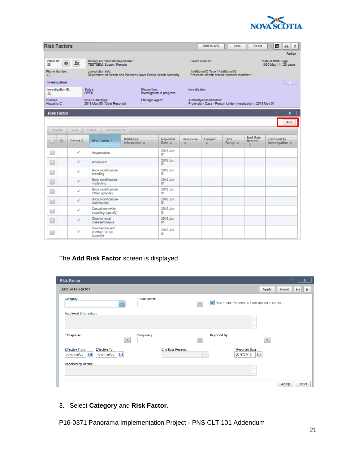

| <b>Risk Factors</b>                   |              |                                                                                       |                                                    |                                           |                                                                                           | Add to WQ                                                                                | Save                                   | Reset                           | log<br>۵<br>?                                   |
|---------------------------------------|--------------|---------------------------------------------------------------------------------------|----------------------------------------------------|-------------------------------------------|-------------------------------------------------------------------------------------------|------------------------------------------------------------------------------------------|----------------------------------------|---------------------------------|-------------------------------------------------|
|                                       |              |                                                                                       |                                                    |                                           |                                                                                           |                                                                                          |                                        |                                 | <b>Active</b>                                   |
| Cilent ID:<br>$\bf{0}$<br>88          | $\mathbf{R}$ | Name(Last, First Middle)/Gender:<br><b>TESTSEM, Susan / Female</b>                    |                                                    |                                           |                                                                                           | <b>Health Card No:</b>                                                                   |                                        |                                 | Date of Birth / Age:<br>1990 May 11 / 28 years  |
| Phone Number:<br>$-(-)$               |              | Jurisdiction Info:<br>Department of Health and Wellness, Nova Scotia Health Authority |                                                    |                                           |                                                                                           | Additional ID Type / Additional ID:<br>Provincial health service provider identifier / - |                                        |                                 |                                                 |
| Investigation                         |              |                                                                                       |                                                    |                                           |                                                                                           |                                                                                          |                                        |                                 |                                                 |
| Investigation ID:<br>32               |              | status:<br><b>OPEN</b>                                                                |                                                    | Disposition:<br>Investigation in progress |                                                                                           | Investigator:                                                                            |                                        |                                 |                                                 |
| <b>DIsease:</b><br><b>Hepatitis C</b> |              | PHAC Date/Type:<br>Etiologic Agent:<br>2018 May 06 / Date Reported                    |                                                    |                                           | Authority/Classification:<br>Provincial / Case - Person Under Investigation / 2018 May 01 |                                                                                          |                                        |                                 |                                                 |
| <b>Risk Factor</b>                    |              |                                                                                       |                                                    |                                           |                                                                                           |                                                                                          |                                        |                                 | ٨                                               |
|                                       |              |                                                                                       |                                                    |                                           |                                                                                           |                                                                                          |                                        | Add                             |                                                 |
| Update                                | <b>View</b>  | <b>Delete</b><br>Set Response                                                         |                                                    |                                           |                                                                                           |                                                                                          |                                        |                                 |                                                 |
| 旨                                     | Preset ¢     | Risk Factor                                                                           | <b>Additional</b><br>Information $\Leftrightarrow$ | Reported<br>Date 0                        | Response<br>٠                                                                             | Frequen<br>٠                                                                             | <b>Date</b><br>Range $\Leftrightarrow$ | <b>End Date</b><br>Reason<br>ó. | <b>Pertinent to</b><br>Investigation $\diamond$ |
| ۰                                     | ✓            | Acupuncture                                                                           |                                                    | 2018 Jun<br>01                            |                                                                                           |                                                                                          |                                        |                                 |                                                 |
| O                                     | ✓            | Alcoholism                                                                            |                                                    | 2018 Jun<br>n+                            |                                                                                           |                                                                                          |                                        |                                 |                                                 |
| $\Box$                                | ✓            | Body modification-<br>branding                                                        |                                                    | 2018 Jun<br>01                            |                                                                                           |                                                                                          |                                        |                                 |                                                 |
| L.                                    | ✓            | Body modification-<br>implanting                                                      |                                                    | 2018 Jun<br>01                            |                                                                                           |                                                                                          |                                        |                                 |                                                 |
|                                       | ✓            | Body modification-<br>Other (specify)                                                 |                                                    | 2018 Jun<br>01                            |                                                                                           |                                                                                          |                                        |                                 |                                                 |
| Ξ                                     | ✓            | Body modification-<br>scarification                                                   |                                                    | 2018 Jun<br>01                            |                                                                                           |                                                                                          |                                        |                                 |                                                 |
| ٠                                     | ✓            | Casual sex while<br>travelling (specify)                                              |                                                    | 2018 Jun<br>01                            |                                                                                           |                                                                                          |                                        |                                 |                                                 |
| E                                     | ✓            | Chronic renal<br>disease/dialysis                                                     |                                                    | 2018 Jun<br>01                            |                                                                                           |                                                                                          |                                        |                                 |                                                 |
| ۰                                     | ✓            | Co-infection with<br>another STBBI<br>(specify)                                       |                                                    | 2018 Jun<br>01                            |                                                                                           |                                                                                          |                                        |                                 |                                                 |

#### The **Add Risk Factor** screen is displayed.

| <b>Risk Factor</b>                                                                                           |                                                     | ⋩                                                          |
|--------------------------------------------------------------------------------------------------------------|-----------------------------------------------------|------------------------------------------------------------|
| <b>Add Risk Factor</b>                                                                                       |                                                     | <b>Reset</b><br>₿<br><b>Apply</b><br>$\boldsymbol{\times}$ |
| Category:<br>$\overline{\phantom{a}}$                                                                        | * Risk Factor:<br>$\mathbf{v}$                      | Risk Factor Pertinent to investigation in context          |
| <b>Additional Information:</b>                                                                               |                                                     |                                                            |
|                                                                                                              |                                                     |                                                            |
| * Response:<br>۰                                                                                             | <b>Frequency:</b><br>$\overline{\phantom{a}}$       | <b>Reported By:</b><br>$\blacktriangledown$                |
| <b>Effective From:</b><br><b>Effective To:</b><br>$\blacksquare$<br>$\mathbb{H}$<br>yyyy/mm/dd<br>yyyy/mm/dd | <b>End Date Reason:</b><br>$\overline{\phantom{a}}$ | * Reported Date:<br>$\mathbb{H}$<br>2018/07/19             |
| <b>Reported by Details:</b>                                                                                  |                                                     | ⌒<br>$\checkmark$                                          |
|                                                                                                              |                                                     | <b>Reset</b><br><b>Apply</b>                               |

#### 3. Select **Category** and **Risk Factor**.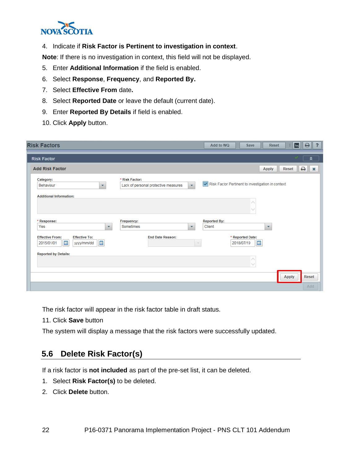

#### 4. Indicate if **Risk Factor is Pertinent to investigation in context**.

**Note**: If there is no investigation in context, this field will not be displayed.

- 5. Enter **Additional Information** if the field is enabled.
- 6. Select **Response**, **Frequency**, and **Reported By.**
- 7. Select **Effective From** date**.**
- 8. Select **Reported Date** or leave the default (current date).
- 9. Enter **Reported By Details** if field is enabled.
- 10. Click **Apply** button.

| <b>Risk Factors</b>                                                                                                                                         | ₿∥<br>$\overline{\mathbf{r}}$<br>Add to WQ<br><b>Reset</b><br>log<br>Save |
|-------------------------------------------------------------------------------------------------------------------------------------------------------------|---------------------------------------------------------------------------|
| <b>Risk Factor</b>                                                                                                                                          | °                                                                         |
| <b>Add Risk Factor</b>                                                                                                                                      | Reset<br>₿.<br><b>Apply</b><br>$\boldsymbol{\times}$                      |
| * Risk Factor:<br>Category:<br>$\bar{\mathbf{v}}$<br>Lack of personal protective measures<br>Behaviour<br>$\mathbf{v}$                                      | Risk Factor Pertinent to investigation in context                         |
| <b>Additional Information:</b>                                                                                                                              |                                                                           |
| * Response:<br>Frequency:<br>Sometimes<br>Yes<br>$\overline{\mathbf{v}}$<br>×.                                                                              | <b>Reported By:</b><br>Client<br>$\overline{\mathbf{v}}$                  |
| <b>Effective From:</b><br><b>End Date Reason:</b><br><b>Effective To:</b><br>$\Box$<br>$\boxed{33}$<br>2015/01/01<br>yyyy/mm/dd<br>$\overline{\phantom{a}}$ | * Reported Date:<br>$\blacksquare$<br>2018/07/19                          |
| <b>Reported by Details:</b>                                                                                                                                 | $\checkmark$                                                              |
|                                                                                                                                                             | <b>Apply</b><br><b>Reset</b><br>Add                                       |

The risk factor will appear in the risk factor table in draft status.

11. Click **Save** button

<span id="page-25-0"></span>The system will display a message that the risk factors were successfully updated.

## **5.6 Delete Risk Factor(s)**

If a risk factor is **not included** as part of the pre-set list, it can be deleted.

- 1. Select **Risk Factor(s)** to be deleted.
- 2. Click **Delete** button.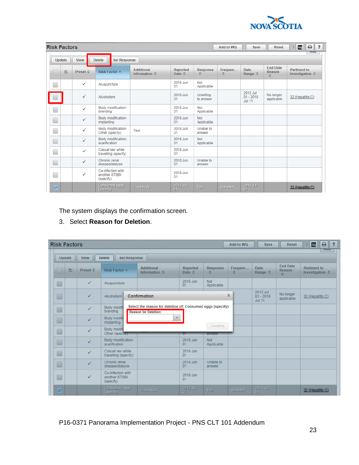

| <b>Risk Factors</b>     |                      |                                                 |                                             |                             |                          | Add to WQ    | <b>Save</b>                              | <b>Reset</b>                   | e<br>$\overline{\mathbf{r}}$<br>log<br>H.       |
|-------------------------|----------------------|-------------------------------------------------|---------------------------------------------|-----------------------------|--------------------------|--------------|------------------------------------------|--------------------------------|-------------------------------------------------|
| <b>Update</b>           | <b>View</b>          | <b>Delete</b><br><b>Set Response</b>            |                                             |                             |                          |              |                                          |                                | ਲਧਧ                                             |
|                         | Ð<br><b>Preset ☆</b> | <b>Risk Factor ▲</b>                            | <b>Additional</b><br>Information $\diamond$ | Reported<br>Date $\diamond$ | <b>Response</b><br>۵     | Frequen<br>≎ | <b>Date</b><br>Range $\diamond$          | <b>End Date</b><br>Reason<br>¢ | <b>Pertinent to</b><br>Investigation $\diamond$ |
|                         | $\checkmark$         | Acupuncture                                     |                                             | 2018 Jun<br>01              | <b>Not</b><br>Applicable |              |                                          |                                |                                                 |
|                         | ✓                    | Alcoholism                                      |                                             | 2018 Jun<br>01              | Unwilling<br>to answer   |              | 2012 Jul<br>$01 - 2018$<br><b>Jul 11</b> | No longer<br>applicable        | 32 (Hepatitis C)                                |
|                         | ✓                    | Body modification-<br>branding                  |                                             | 2018 Jun<br>01              | Not<br>Applicable        |              |                                          |                                |                                                 |
| Е                       | $\checkmark$         | Body modification-<br>implanting                |                                             | 2018 Jun<br>01              | <b>Not</b><br>Applicable |              |                                          |                                |                                                 |
| Г                       | $\checkmark$         | Body modification-<br>Other (specify)           | Test                                        | 2018 Jun<br>01              | Unable to<br>answer      |              |                                          |                                |                                                 |
| Е                       | $\checkmark$         | Body modification-<br>scarification             |                                             | 2018 Jun<br>01              | <b>Not</b><br>Applicable |              |                                          |                                |                                                 |
|                         | ✓                    | Casual sex while<br>travelling (specify)        |                                             | 2018 Jun<br>01              |                          |              |                                          |                                |                                                 |
| Г                       | $\checkmark$         | Chronic renal<br>disease/dialysis               |                                             | 2018 Jun<br>01              | Unable to<br>answer      |              |                                          |                                |                                                 |
|                         | ✓                    | Co-infection with<br>another STBBI<br>(specify) |                                             | 2018 Jun<br>01              |                          |              |                                          |                                |                                                 |
| $\overline{\mathbf{v}}$ |                      | Consumed eggs<br>(specify)                      | Food truck                                  | 2018 Jul<br>23              | Yes                      | Sometim.     | $\frac{2018}{01}$ Jul                    |                                | 32 (Hepatitis C)                                |

The system displays the confirmation screen.

3. Select **Reason for Deletion**.

| <b>Risk Factors</b> |             |                                                 |                                                                                           |                                           |                          | Add to WQ             | <b>Save</b>                              | <b>Reset</b>                           | ₿<br>log<br>$\overline{ }$<br>H                 |
|---------------------|-------------|-------------------------------------------------|-------------------------------------------------------------------------------------------|-------------------------------------------|--------------------------|-----------------------|------------------------------------------|----------------------------------------|-------------------------------------------------|
| Update              | <b>View</b> | <b>Delete</b><br><b>Set Response</b>            |                                                                                           |                                           |                          |                       |                                          |                                        | ਲਧਧ                                             |
| D                   | Preset ☆    | <b>Risk Factor ▲</b>                            | <b>Additional</b><br>Information $\Leftrightarrow$                                        | <b>Reported</b><br>Date $\Leftrightarrow$ | <b>Response</b><br>٥     | Frequen<br>٠          | <b>Date</b><br>Range $\diamond$          | <b>End Date</b><br><b>Reason</b><br>÷. | <b>Pertinent to</b><br>Investigation $\diamond$ |
| $\Box$              | ✓           | Acupuncture                                     |                                                                                           | 2018 Jun<br>01                            | <b>Not</b><br>Applicable |                       |                                          |                                        |                                                 |
| $\Box$              | ✓           | Alcoholism                                      | <b>Confirmation</b>                                                                       |                                           |                          | $\boldsymbol{\times}$ | 2012 Jul<br>$01 - 2018$<br><b>Jul 11</b> | No longer<br>applicable                | 32 (Hepatitis C)                                |
| $\Box$              | ✓           | Body modifi<br>branding                         | Select the reason for deletion of: Consumed eggs (specify)<br><b>Reason for Deletion:</b> |                                           |                          |                       |                                          |                                        |                                                 |
| $\Box$              | ✓           | Body modifi<br>implanting                       | $\overline{\phantom{a}}$                                                                  |                                           | Confirm                  |                       |                                          |                                        |                                                 |
| $\Box$              | ✓           | Body modifi<br>Other (specify)                  |                                                                                           | O1                                        | answer                   |                       |                                          |                                        |                                                 |
| □                   | ✓           | Body modification-<br>scarification             |                                                                                           | 2018 Jun<br>01                            | <b>Not</b><br>Applicable |                       |                                          |                                        |                                                 |
| $\Box$              | ✓           | Casual sex while<br>travelling (specify)        |                                                                                           | 2018 Jun<br>01                            |                          |                       |                                          |                                        |                                                 |
| $\Box$              | ✓           | Chronic renal<br>disease/dialysis               |                                                                                           | 2018 Jun<br>01                            | Unable to<br>answer      |                       |                                          |                                        |                                                 |
| $\Box$              | ✓           | Co-infection with<br>another STBBI<br>(specify) |                                                                                           | 2018 Jun<br>01                            |                          |                       |                                          |                                        |                                                 |
| ✓                   |             | Consumed eggs<br>(specify)                      | Food truck                                                                                | 2018 Jul                                  | Yes:                     | Sometim.              | 2018 Jul                                 |                                        | 32 (Hepatitis C)                                |